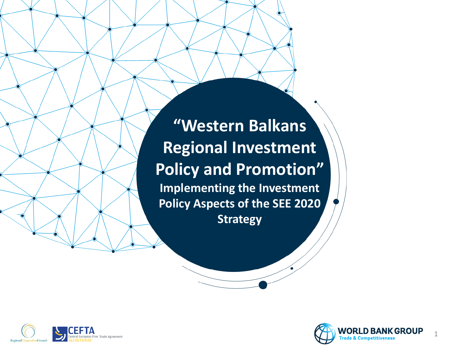**"Western Balkans Regional Investment Policy and Promotion" Implementing the Investment Policy Aspects of the SEE 2020 Strategy**



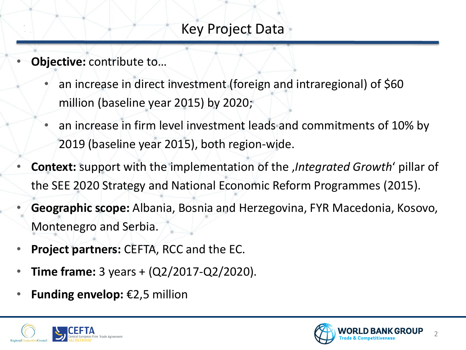### Key Project Data

- **Objective:** contribute to…
	- an increase in direct investment (foreign and intraregional) of \$60 million (baseline year 2015) by 2020;
	- an increase in firm level investment leads and commitments of 10% by 2019 (baseline year 2015), both region-wide.
- **Context:** support with the implementation of the '*Integrated Growth*' pillar of the SEE 2020 Strategy and National Economic Reform Programmes (2015).
- **Geographic scope:** Albania, Bosnia and Herzegovina, FYR Macedonia, Kosovo, Montenegro and Serbia.
- **Project partners:** CEFTA, RCC and the EC.
- **Time frame:** 3 years + (Q2/2017-Q2/2020).
- **Funding envelop:** €2,5 million



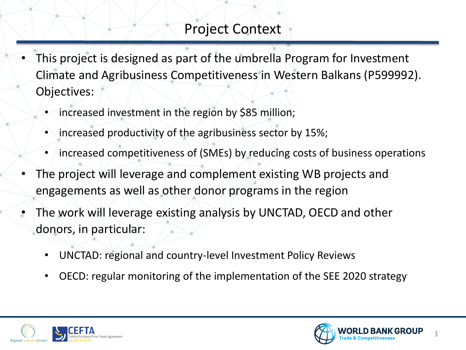## Project Context

- This project is designed as part of the umbrella Program for Investment Climate and Agribusiness Competitiveness in Western Balkans (P599992). Objectives:
	- increased investment in the region by \$85 million;
	- increased productivity of the agribusiness sector by 15%;
	- increased competitiveness of (SMEs) by reducing costs of business operations
- The project will leverage and complement existing WB projects and engagements as well as other donor programs in the region
- The work will leverage existing analysis by UNCTAD, OECD and other donors, in particular:
	- UNCTAD: regional and country-level Investment Policy Reviews
	- OECD: regular monitoring of the implementation of the SEE 2020 strategy



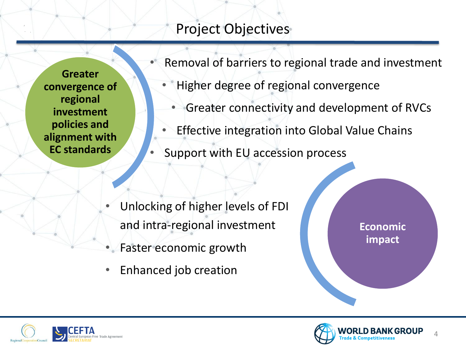# Project Objectives

**Greater convergence of regional investment policies and alignment with EC standards**

Removal of barriers to regional trade and investment

- Higher degree of regional convergence
	- Greater connectivity and development of RVCs
- **Effective integration into Global Value Chains**
- Support with EU accession process

- Unlocking of higher levels of FDI and intra-regional investment
- Faster economic growth
- Enhanced job creation





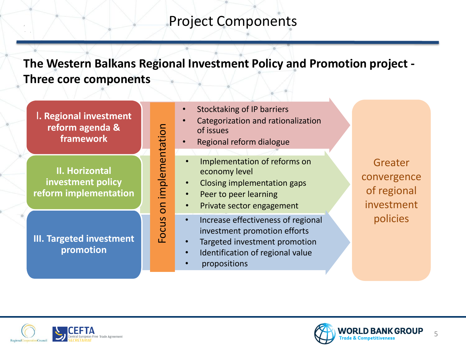### Project Components

**The Western Balkans Regional Investment Policy and Promotion project - Three core components**

I**. Regional investment reform agenda & framework**

**II. Horizontal investment policy reform implementation**

**III. Targeted investment promotion**

- Stocktaking of IP barriers
- Categorization and rationalization of issues
- Regional reform dialogue
- Implementation of reforms on economy level
- Closing implementation gaps
- Peer to peer learning
- Private sector engagement
- Increase effectiveness of regional investment promotion efforts
- Targeted investment promotion
- Identification of regional value
- propositions

Focus on implementation

Focus on implementation

Greater convergence of regional investment policies





5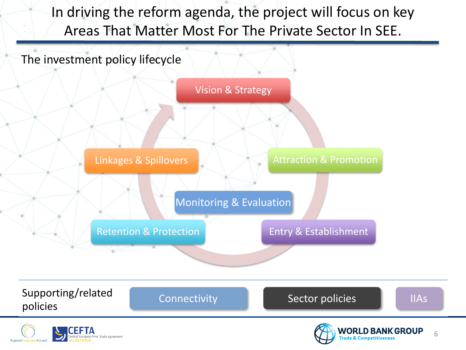In driving the reform agenda, the project will focus on key Areas That Matter Most For The Private Sector In SEE.